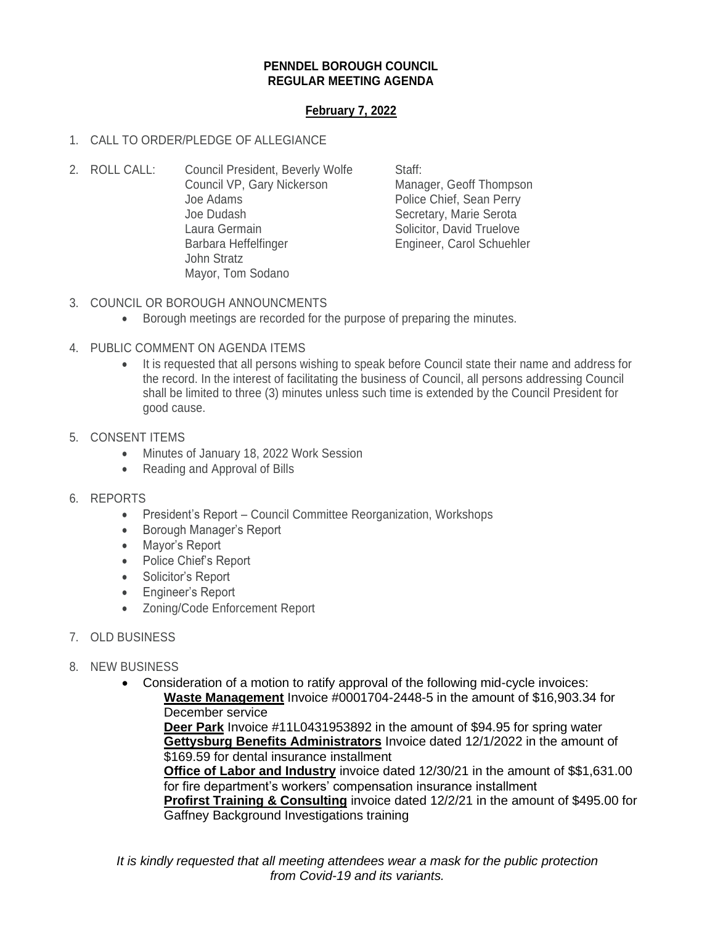## **PENNDEL BOROUGH COUNCIL REGULAR MEETING AGENDA**

## **February 7, 2022**

## 1. CALL TO ORDER/PLEDGE OF ALLEGIANCE

2. ROLL CALL: Council President, Beverly Wolfe Staff: Council VP, Gary Nickerson Manager, Geoff Thompson Joe Adams **Police Chief**, Sean Perry Joe Dudash Secretary, Marie Serota Laura Germain **Solicitor**, David Truelove Barbara Heffelfinger **Engineer**, Carol Schuehler John Stratz Mayor, Tom Sodano

- 3. COUNCIL OR BOROUGH ANNOUNCMENTS
	- Borough meetings are recorded for the purpose of preparing the minutes.
- 4. PUBLIC COMMENT ON AGENDA ITEMS
	- It is requested that all persons wishing to speak before Council state their name and address for the record. In the interest of facilitating the business of Council, all persons addressing Council shall be limited to three (3) minutes unless such time is extended by the Council President for good cause.
- 5. CONSENT ITEMS
	- Minutes of January 18, 2022 Work Session
	- Reading and Approval of Bills
- 6. REPORTS
	- President's Report Council Committee Reorganization, Workshops
	- Borough Manager's Report
	- Mayor's Report
	- Police Chief's Report
	- Solicitor's Report
	- Engineer's Report
	- Zoning/Code Enforcement Report
- 7. OLD BUSINESS
- 8. NEW BUSINESS
	- Consideration of a motion to ratify approval of the following mid-cycle invoices: **Waste Management** Invoice #0001704-2448-5 in the amount of \$16,903.34 for December service

**Deer Park** Invoice #11L0431953892 in the amount of \$94.95 for spring water **Gettysburg Benefits Administrators** Invoice dated 12/1/2022 in the amount of \$169.59 for dental insurance installment

**Office of Labor and Industry** invoice dated 12/30/21 in the amount of \$\$1,631.00 for fire department's workers' compensation insurance installment

**Profirst Training & Consulting** invoice dated 12/2/21 in the amount of \$495.00 for Gaffney Background Investigations training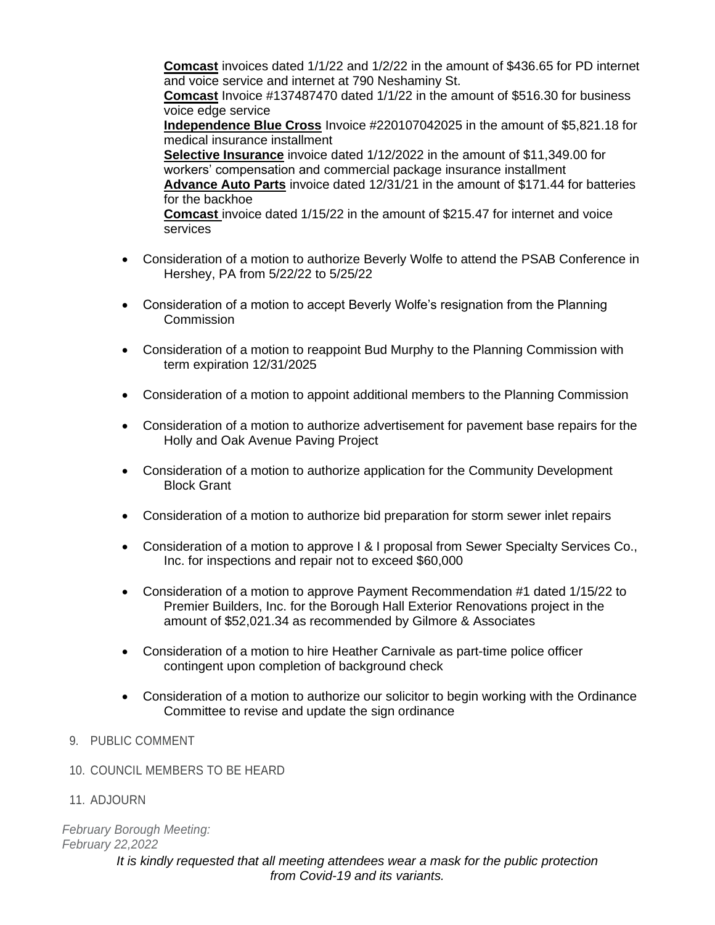**Comcast** invoices dated 1/1/22 and 1/2/22 in the amount of \$436.65 for PD internet and voice service and internet at 790 Neshaminy St. **Comcast** Invoice #137487470 dated 1/1/22 in the amount of \$516.30 for business voice edge service **Independence Blue Cross** Invoice #220107042025 in the amount of \$5,821.18 for medical insurance installment **Selective Insurance** invoice dated 1/12/2022 in the amount of \$11,349.00 for workers' compensation and commercial package insurance installment **Advance Auto Parts** invoice dated 12/31/21 in the amount of \$171.44 for batteries for the backhoe **Comcast** invoice dated 1/15/22 in the amount of \$215.47 for internet and voice services

- Consideration of a motion to authorize Beverly Wolfe to attend the PSAB Conference in Hershey, PA from 5/22/22 to 5/25/22
- Consideration of a motion to accept Beverly Wolfe's resignation from the Planning **Commission**
- Consideration of a motion to reappoint Bud Murphy to the Planning Commission with term expiration 12/31/2025
- Consideration of a motion to appoint additional members to the Planning Commission
- Consideration of a motion to authorize advertisement for pavement base repairs for the Holly and Oak Avenue Paving Project
- Consideration of a motion to authorize application for the Community Development Block Grant
- Consideration of a motion to authorize bid preparation for storm sewer inlet repairs
- Consideration of a motion to approve I & I proposal from Sewer Specialty Services Co., Inc. for inspections and repair not to exceed \$60,000
- Consideration of a motion to approve Payment Recommendation #1 dated 1/15/22 to Premier Builders, Inc. for the Borough Hall Exterior Renovations project in the amount of \$52,021.34 as recommended by Gilmore & Associates
- Consideration of a motion to hire Heather Carnivale as part-time police officer contingent upon completion of background check
- Consideration of a motion to authorize our solicitor to begin working with the Ordinance Committee to revise and update the sign ordinance
- 9. PUBLIC COMMENT
- 10. COUNCIL MEMBERS TO BE HEARD
- 11. ADJOURN

*February Borough Meeting: February 22,2022*

*It is kindly requested that all meeting attendees wear a mask for the public protection from Covid-19 and its variants.*